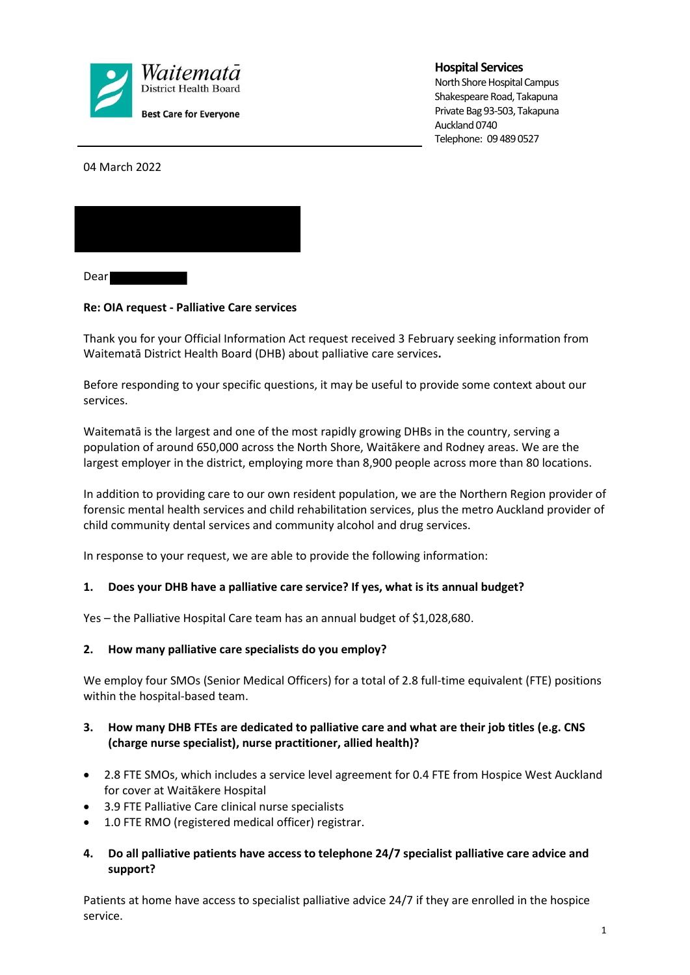

**Hospital Services**

North Shore Hospital Campus Shakespeare Road, Takapuna Private Bag 93-503, Takapuna Auckland 0740 Telephone: 09 489 0527

04 March 2022



Dear **Dear** 

## **Re: OIA request - Palliative Care services**

Thank you for your Official Information Act request received 3 February seeking information from Waitematā District Health Board (DHB) about palliative care services**.** 

Before responding to your specific questions, it may be useful to provide some context about our services.

Waitematā is the largest and one of the most rapidly growing DHBs in the country, serving a population of around 650,000 across the North Shore, Waitākere and Rodney areas. We are the largest employer in the district, employing more than 8,900 people across more than 80 locations.

In addition to providing care to our own resident population, we are the Northern Region provider of forensic mental health services and child rehabilitation services, plus the metro Auckland provider of child community dental services and community alcohol and drug services.

In response to your request, we are able to provide the following information:

## **1. Does your DHB have a palliative care service? If yes, what is its annual budget?**

Yes – the Palliative Hospital Care team has an annual budget of \$1,028,680.

## **2. How many palliative care specialists do you employ?**

We employ four SMOs (Senior Medical Officers) for a total of 2.8 full-time equivalent (FTE) positions within the hospital-based team.

### **3. How many DHB FTEs are dedicated to palliative care and what are their job titles (e.g. CNS (charge nurse specialist), nurse practitioner, allied health)?**

- 2.8 FTE SMOs, which includes a service level agreement for 0.4 FTE from Hospice West Auckland for cover at Waitākere Hospital
- 3.9 FTE Palliative Care clinical nurse specialists
- 1.0 FTE RMO (registered medical officer) registrar.
- **4. Do all palliative patients have access to telephone 24/7 specialist palliative care advice and support?**

Patients at home have access to specialist palliative advice 24/7 if they are enrolled in the hospice service.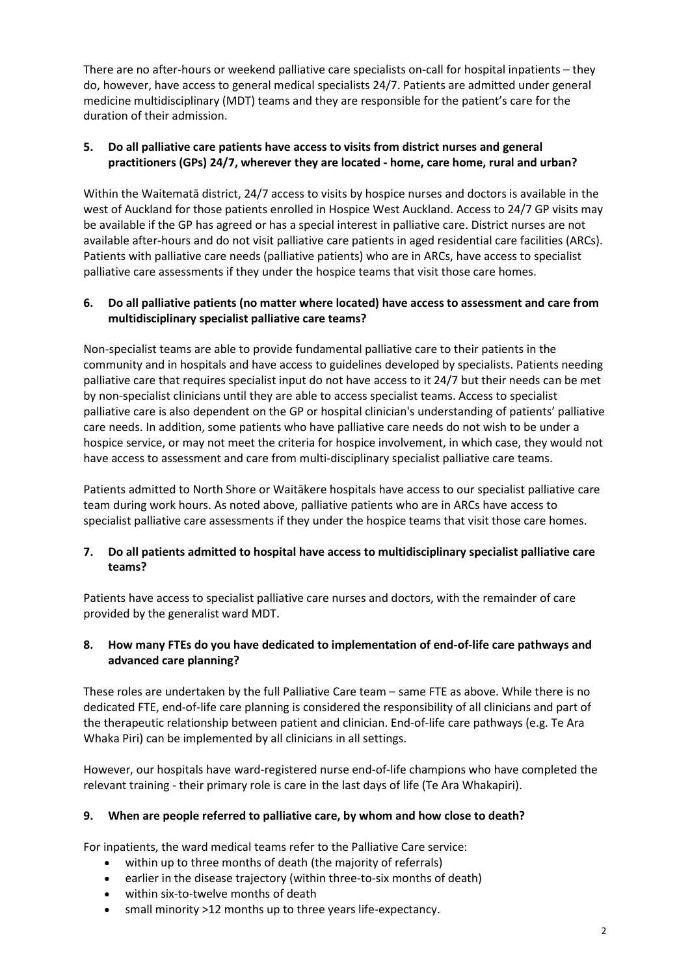There are no after-hours or weekend palliative care specialists on-call for hospital inpatients – they do, however, have access to general medical specialists 24/7. Patients are admitted under general medicine multidisciplinary (MDT) teams and they are responsible for the patient's care for the duration of their admission.

# **5. Do all palliative care patients have access to visits from district nurses and general practitioners (GPs) 24/7, wherever they are located - home, care home, rural and urban?**

Within the Waitematā district, 24/7 access to visits by hospice nurses and doctors is available in the west of Auckland for those patients enrolled in Hospice West Auckland. Access to 24/7 GP visits may be available if the GP has agreed or has a special interest in palliative care. District nurses are not available after-hours and do not visit palliative care patients in aged residential care facilities (ARCs). Patients with palliative care needs (palliative patients) who are in ARCs, have access to specialist palliative care assessments if they under the hospice teams that visit those care homes.

## **6. Do all palliative patients (no matter where located) have access to assessment and care from multidisciplinary specialist palliative care teams?**

Non-specialist teams are able to provide fundamental palliative care to their patients in the community and in hospitals and have access to guidelines developed by specialists. Patients needing palliative care that requires specialist input do not have access to it 24/7 but their needs can be met by non-specialist clinicians until they are able to access specialist teams. Access to specialist palliative care is also dependent on the GP or hospital clinician's understanding of patients' palliative care needs. In addition, some patients who have palliative care needs do not wish to be under a hospice service, or may not meet the criteria for hospice involvement, in which case, they would not have access to assessment and care from multi-disciplinary specialist palliative care teams.

Patients admitted to North Shore or Waitākere hospitals have access to our specialist palliative care team during work hours. As noted above, palliative patients who are in ARCs have access to specialist palliative care assessments if they under the hospice teams that visit those care homes.

## **7. Do all patients admitted to hospital have access to multidisciplinary specialist palliative care teams?**

Patients have access to specialist palliative care nurses and doctors, with the remainder of care provided by the generalist ward MDT.

## **8. How many FTEs do you have dedicated to implementation of end-of-life care pathways and advanced care planning?**

These roles are undertaken by the full Palliative Care team – same FTE as above. While there is no dedicated FTE, end-of-life care planning is considered the responsibility of all clinicians and part of the therapeutic relationship between patient and clinician. End-of-life care pathways (e.g. Te Ara Whaka Piri) can be implemented by all clinicians in all settings.

However, our hospitals have ward-registered nurse end-of-life champions who have completed the relevant training - their primary role is care in the last days of life (Te Ara Whakapiri).

## **9. When are people referred to palliative care, by whom and how close to death?**

For inpatients, the ward medical teams refer to the Palliative Care service:

- within up to three months of death (the majority of referrals)
- earlier in the disease trajectory (within three-to-six months of death)
- within six-to-twelve months of death
- small minority >12 months up to three years life-expectancy.